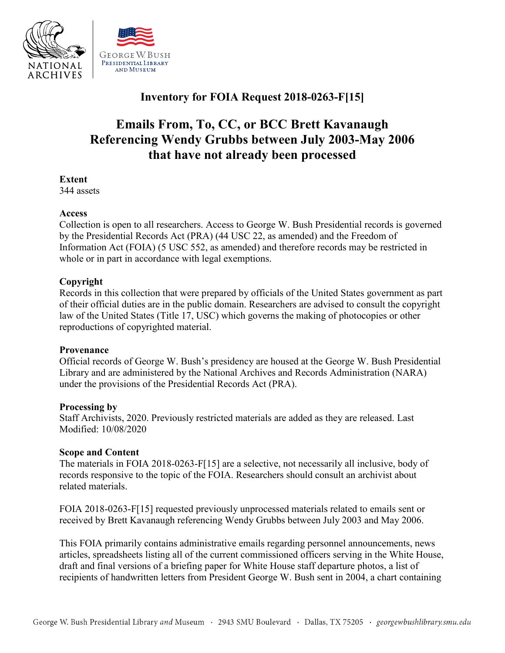

# **Inventory for FOIA Request 2018-0263-F[15]**

# **Referencing Wendy Grubbs between July 2003-May 2006 Emails From, To, CC, or BCC Brett Kavanaugh that have not already been processed**

# **Extent**

344 assets

# **Access**

 by the Presidential Records Act (PRA) (44 USC 22, as amended) and the Freedom of Collection is open to all researchers. Access to George W. Bush Presidential records is governed Information Act (FOIA) (5 USC 552, as amended) and therefore records may be restricted in whole or in part in accordance with legal exemptions.

# **Copyright**

Records in this collection that were prepared by officials of the United States government as part of their official duties are in the public domain. Researchers are advised to consult the copyright law of the United States (Title 17, USC) which governs the making of photocopies or other reproductions of copyrighted material.

#### **Provenance**

 Official records of George W. Bush's presidency are housed at the George W. Bush Presidential under the provisions of the Presidential Records Act (PRA). Library and are administered by the National Archives and Records Administration (NARA)

#### **Processing by**

Staff Archivists, 2020. Previously restricted materials are added as they are released. Last Modified: 10/08/2020

#### **Scope and Content**

 records responsive to the topic of the FOIA. Researchers should consult an archivist about The materials in FOIA 2018-0263-F[15] are a selective, not necessarily all inclusive, body of related materials.

FOIA 2018-0263-F[15] requested previously unprocessed materials related to emails sent or received by Brett Kavanaugh referencing Wendy Grubbs between July 2003 and May 2006.

 recipients of handwritten letters from President George W. Bush sent in 2004, a chart containing This FOIA primarily contains administrative emails regarding personnel announcements, news articles, spreadsheets listing all of the current commissioned officers serving in the White House, draft and final versions of a briefing paper for White House staff departure photos, a list of